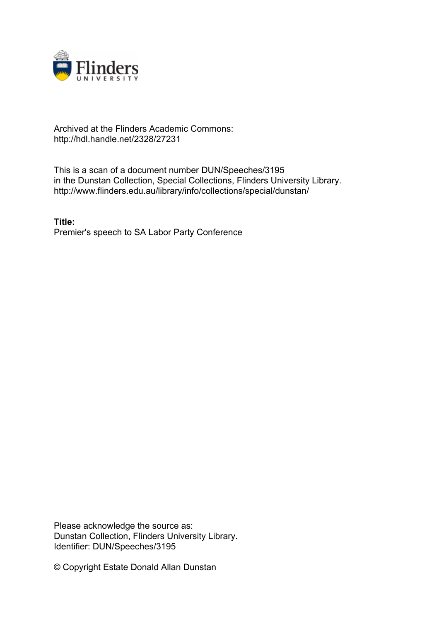

## Archived at the Flinders Academic Commons: http://hdl.handle.net/2328/27231

This is a scan of a document number DUN/Speeches/3195 in the Dunstan Collection, Special Collections, Flinders University Library. http://www.flinders.edu.au/library/info/collections/special/dunstan/

**Title:** Premier's speech to SA Labor Party Conference

Please acknowledge the source as: Dunstan Collection, Flinders University Library. Identifier: DUN/Speeches/3195

© Copyright Estate Donald Allan Dunstan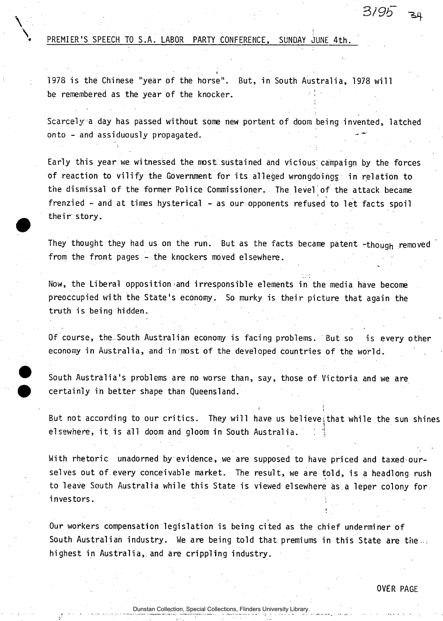## **PREMIER'S SPEECH TO S.A. LABOR PARTY CONFERENCE, SUNDAY JUNE 4th.**

**I 1978 i s the Chinese "year of the horse". But, in South Australia, 1978 wil l**  be remembered as the year of the knocker.

**Scarcely a day has passed without some new portent of doom being invented, latched onto - and assiduously propagated.** 

**Early this year we witnessed the most, sustained and vicious campaign by the forces**  of reaction to vilify the Government for its alleged wrongdoings in relation to **the dismissal of the former Police Commissioner. The level of the attack became**  frenzied - and at times hysterical - as our opponents refused to let facts spoil their story.

**They thought they had us on the run. But as the facts became patent -though removed from the front pages - the knockers moved elsewhere.** 

Now, the Liberal opposition and irresponsible elements in the media have become preoccupied with the State's economy. So murky is their picture that again the **truth i s being hidden.** 

**Of course, the.South Australian economy is facing problems. But so is every other economy in Australia, and in most of the developed countries of the world.** 

**South Australia's problems are no worse than, say, those of Victoria and we are certainly in better shape than Queensland.** 

But not according to our critics. They will have us believe; that while the sun shines **elsewhere, it is all doom and gloom in South Australia.** 

*'* i

>

**With rhetoric unadorned by evidence, we are supposed to have priced and taxed our**selves out of every conceivable market. The result, we are told, is a headlong rush to leave South Australia while this State is viewed elsewhere as a leper colony for **investors.** 

**Our workers compensation legislation is being cited as the chief underminer of South Australian industry. We are being told that premiums in this State are the..:**  highest in Australia, and are crippling industry.

3/9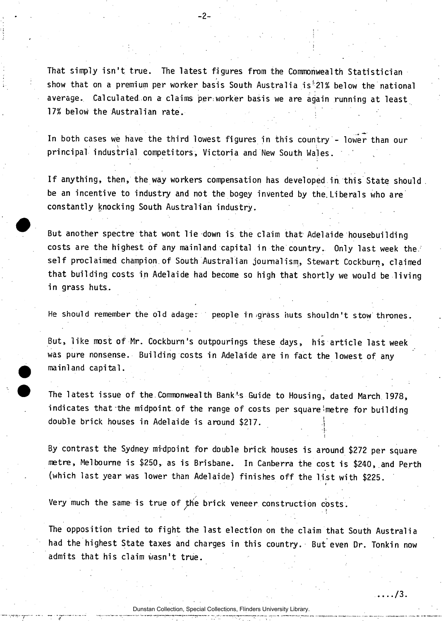That simply isn't true. The latest figures from the Commonwealth Statistician **show that on a premium per worker basis South Australia is!;21% below the national average. Calculated on a claims per;worker basis we are again running at least 17% below the Australian rate.** 

 $-2-$ 

**In both cases we have the third lowest figures in this country - lower than our \ : principal industrial competitors, Victoria and New South Wales. '** 

**I f anything, then, the way workers compensation has developed in this State should be an incentive to industry and not the bogey invented by the. Liberals who are constantly knocking South Australian industry.** 

But another spectre that wont lie down is the claim that Adelaide housebuilding costs are the highest of any mainland capital in the country. Only last week the. **self proclaimed champion.of South Australian journalism, Stewart Cockburn, claimed that building costs in Adelaide had become so high that shortly we would be living in grass huts.** 

**He should remember the old adage: people in -grass huts shouldn't stow thrones.** 

But, like most of Mr. Cockburn's outpourings these days, his article last week **was pure nonsense. Building costs in Adelaide are in fact the lowest of any mainland capital.** 

The latest issue of the Commonwealth Bank<sup>t</sup>s Guide to Housing, dated March 1978, indicates that the midpoint of the range of costs per square metre for building double brick houses in Adelaide is around \$217.

By contrast the Sydney midpoint for double brick houses is around \$272 per square **metre, Melbourne is \$250, as is Brisbane. In Canberra the cost i s \$240, and Perth**  (which last year was lower than Adelaide) finishes off the list with \$225.

**Very much the same is true of the brick veneer construction costs.** 

The opposition tried to fight the last election on the claim that South Australia **had the highest State taxes and charges in this country. But even Dr. Tonkin now admits that his claim wasn't true.** 

**I** 

*t* 

Dunstan Collection, Special Collections, Flinders University Library.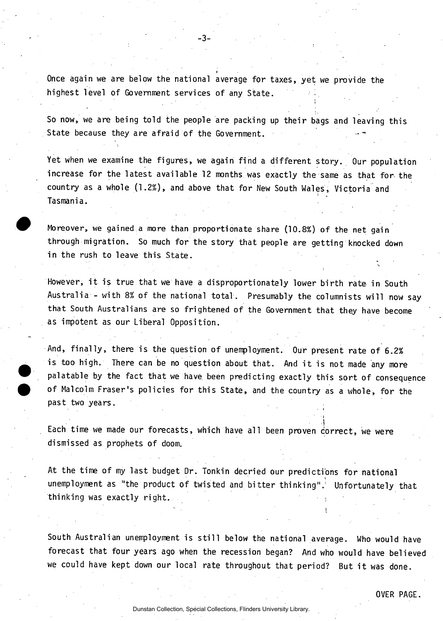**Once again we are below the national average for taxes, yet we provide the highest level of Government services of any State.** 

-3-

So now, we are being told the people are packing up their bags and leaving this **State because they are afraid of the Government.** 

**Yet when we examine the figures, we again find a different story. Our population increase for the latest available 12 months was exactly the same as that for the country as a whole (1.2%), and above that for New South Wales, Victoria and Tasmania.** 

**Moreover, we gained a more than proportionate share (10.8%) of the net gain through migration. So much for the story that people are getting knocked down in the rush to leave this State.** 

However, it is true that we have a disproportionately lower birth rate in South **Australia - with 8% of the national total. Presumably the columnists will now say that South Australians are so frightened of the Government that they have become as impotent as our Liberal Opposition.** 

And, finally, there is the question of unemployment. Our present rate of 6.2% is too high. There can be no question about that. And it is not made any more palatable by the fact that we have been predicting exactly this sort of consequence **of Malcolm Fraser's policies for this State, and the country as a whole, for the past two years.** 

• • i

**•» i** 

Each time we made our forecasts, which have all been proven correct, we were **dismissed as prophets of doom.** 

At the time of my last budget Dr. Tonkin decried our predictions for national **unemployment as "the product of twisted and bitter thinking".' Unfortunately that thinking was exactly right.** 

South Australian unemployment is still below the national average. Who would have **forecast that four years ago when the recession began? And who would have believed**  we could have kept down our local rate throughout that period? But it was done.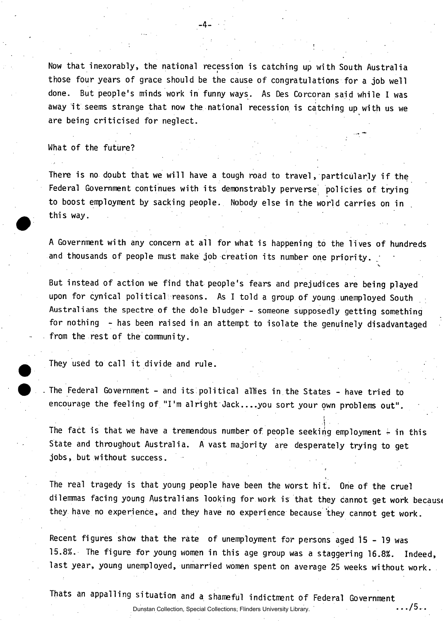**Now that inexorably, the national recession is catching up with South Australia those four years of grace should be the cause of congratulations for a job well done. But people's minds work in funny ways. As Des Corcoran said while I was away i t seems strange that now the national recession is catching up with us we are being criticised for neglect.** 

-4-

## **What of the future?**

There is no doubt that we will have a tough road to travel, particularly if the Federal Government continues with its demonstrably perverse policies of trying **to boost employment by sacking people. Nobody else in the world carries on in this way.** 

A Government with any concern at all for what is happening to the lives of hundreds and thousands of people must make job creation its number one priority.

V

 $.75..$ 

 $\ddot{\phantom{a}}$ • 5

**But instead of action we find that people's fears and prejudices are being played upon for cynical political reasons. As I told a group of young unemployed South Australians the spectre of the dole bludger - someone supposedly getting something for nothing - has been raised in an attempt to isolate the genuinely disadvantaged from the rest of the community.** 

They used to call it divide and rule.

**The Federal Government - and its : political allies in the States - have tried to encourage the feeling of "I'm alright Jack....you sort your own problems out".** 

**The fact is that we have a tremendous number of people seeking employment in this State and throughout Australia. A vast majority are desperately trying to get jobs, but without success.** 

**The real tragedy is that young people have been the worst hit. One of the cruel dilemmas facing young Australians looking for work is that they cannot get work becausc they have no experience, and they have no experience because 'they cannot get work.** 

**Recent figures show that the rate of unemployment for persons aged 15-1 9 was 15.8%. The figure for young women in this age group was a staggering 16.8%. Indeed,**  last year, young unemployed, unmarried women spent on average 25 weeks without work.

**Thats an appalling situation and a shameful indictment of Federal Government** 

Dunstan Collection, Special Collections, Flinders University Library.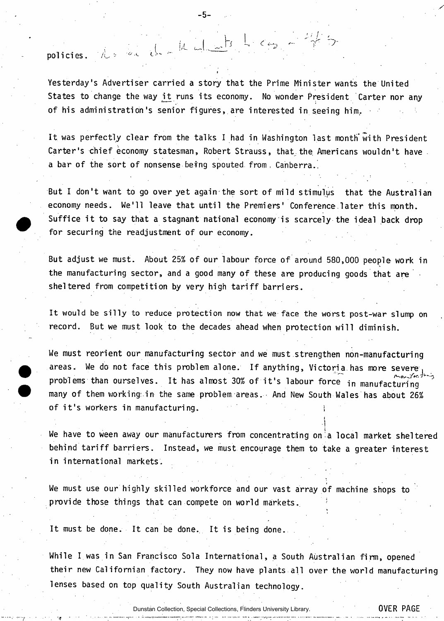**policies. /u** 

**Yesterday's Advertiser carried a story that the Prime Minister wants the United**  States to change the way it runs its economy. No wonder President Carter nor any **of his administration's senior figures, are interested in seeing him..** 

i *l^Jrs* **l,** 

**-5-**

**!/L i \ \_** 

It was perfectly clear from the talks I had in Washington last month with President Carter's chief economy statesman, Robert Strauss, that the Americans wouldn't have **a bar of the sort of nonsense befng spouted from, Canberra.,** 

**But I don't want to go over yet again the sort of mild stimulus that the Australian**  economy needs. We'll leave that until the Premiers' Conference later this month. Suffice it to say that a stagnant national economy is scarcely the ideal back drop **for securing the readjustment of our economy.** 

**But adjust we must. About 25% of our labour force of around 580,000 people work in the manufacturing sector, and a good many of these are producing goods that are sheltered from competition by very high tariff barriers.** 

It would be silly to reduce protection now that we face the worst post-war slump on record. But we must look to the decades ahead when protection will diminish.

**We must reorient our manufacturing sector and we must strengthen non-manufacturing areas. We do not face this problem alone. If anything, Victoria has more severe^**  problems than ourselves. It has almost 30% of it's labour force in manufacturing **many of them working: in the same problem areas. • And New South Wales has about 26%**  of it's workers in manufacturing.

**We have to ween away our manufacturers from concentrating on'a local market sheltered behind tariff barriers. Instead, we must encourage them to take a greater interest in international markets.** 

**i i** 

**We must use our highly skilled workforce and our vast array of machine shops to**  provide those things that can compete on world markets.

**It must be done. It can be done. It is being done.** 

**While I was in San Francisco Sola International, a South Australian firm, opened**  their new Californian factory. They now have plants all over the world manufacturing **lenses based on top quality South Australian technology.**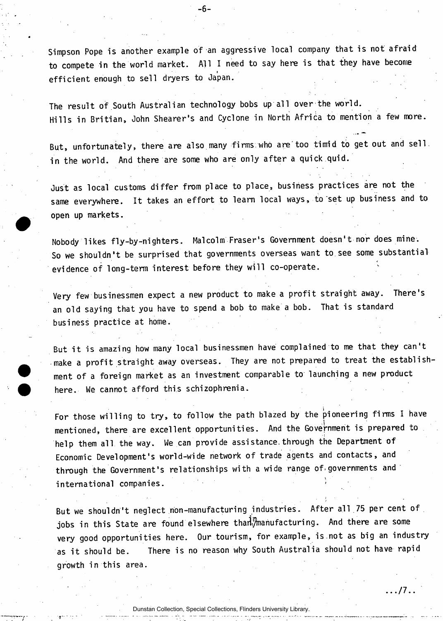Simpson Pope is another example of an aggressive local company that is not afraid to compete in the world market. All I need to say here is that they have become **efficient enough to sell dryers to Japan.** 

-6-

The result of South Australian technology bobs up all over the world. **Hill s in Britian, John Shearer's and Cyclone in North Africa to mention a few more.** 

**But, unfortunately, there are also many firms.who are'too timid to get out and sell, in the world. And there are some who are only after a quick quid.** 

Just as local customs differ from place to place, business practices are not the same everywhere. It takes an effort to learn local ways, to set up business and to **open up markets.** 

**Nobody likes fly-by-nighters. Malcolm Fraser's Government doesn't nor does mine. So we shouldn't be surprised that governments overseas want to see some substantial**  evidence of long-term interest before they will co-operate.

**Very few businessmen expect a new product to make a profit straight away. There's**  an old saying that you have to spend a bob to make a bob. That is standard **business practice at home.** 

But it is amazing how many local businessmen have complained to me that they can't **make a profit straight away overseas. They are not prepared to treat the establishment of a foreign market as an investment comparable to launching a new product here. We cannot afford this schizophrenia.** 

For those willing to try, to follow the path blazed by the pioneering firms I have mentioned, there are excellent opportunities. And the Government is prepared to help them all the way. We can provide assistance through the Department of **Economic Development's world-wide network of trade agents and contacts, and through the Government's relationships with a wide range of-governments and international companies. '** 

**But we shouldn't neglect non-manufacturing industries. After all 75 per cent of**  jobs in this State are found elsewhere than<sup>T</sup>manufacturing. And there are some **very good opportunities here. Our tourism, for example, is.not as big an industry as i t should be. There i s no reason why South Australia should not have rapid growth in this area.**